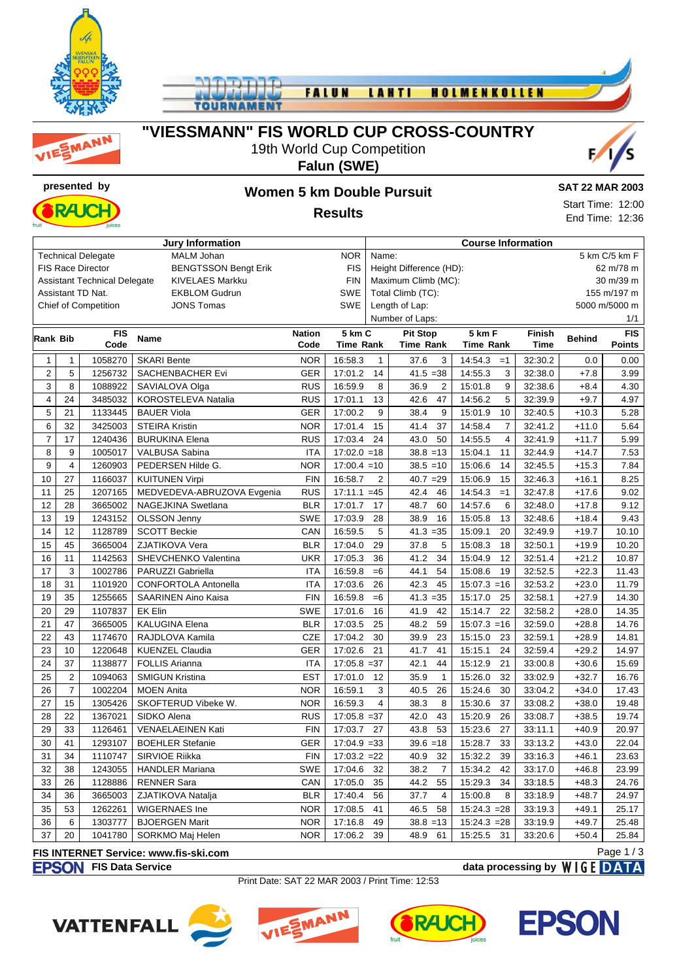





### **"VIESSMANN" FIS WORLD CUP CROSS-COUNTRY**

19th World Cup Competition



### **Falun (SWE)**



# **presented by Women 5 km Double Pursuit**

Start Time: 12:00 End Time: 12:36

**Results**

| <b>Jury Information</b> |                         |                                     |                             |                                 |                        |                                      | <b>Course Information</b> |                           |               |            |               |  |  |
|-------------------------|-------------------------|-------------------------------------|-----------------------------|---------------------------------|------------------------|--------------------------------------|---------------------------|---------------------------|---------------|------------|---------------|--|--|
|                         |                         | <b>Technical Delegate</b>           | <b>MALM Johan</b>           | <b>NOR</b>                      | 5 km C/5 km F<br>Name: |                                      |                           |                           |               |            |               |  |  |
|                         |                         | <b>FIS Race Director</b>            | <b>BENGTSSON Bengt Erik</b> |                                 | <b>FIS</b>             | Height Difference (HD):<br>62 m/78 m |                           |                           |               |            |               |  |  |
|                         |                         | <b>Assistant Technical Delegate</b> | <b>KIVELAES Markku</b>      |                                 | <b>FIN</b>             | Maximum Climb (MC):<br>30 m/39 m     |                           |                           |               |            |               |  |  |
|                         |                         | Assistant TD Nat.                   | <b>EKBLOM Gudrun</b>        |                                 | <b>SWE</b>             | Total Climb (TC):<br>155 m/197 m     |                           |                           |               |            |               |  |  |
|                         |                         | <b>Chief of Competition</b>         | <b>JONS Tomas</b>           | Length of Lap:<br>5000 m/5000 m |                        |                                      |                           |                           |               |            |               |  |  |
|                         |                         |                                     |                             |                                 |                        |                                      | Number of Laps:<br>1/1    |                           |               |            |               |  |  |
| Rank Bib                |                         | <b>FIS</b>                          | <b>Nation</b>               | 5 km C                          |                        | <b>Pit Stop</b>                      | 5 km F<br><b>Finish</b>   |                           | <b>Behind</b> | <b>FIS</b> |               |  |  |
|                         |                         | Code                                | <b>Name</b>                 |                                 | <b>Time Rank</b>       |                                      | <b>Time Rank</b>          | <b>Time Rank</b>          | <b>Time</b>   |            | <b>Points</b> |  |  |
| $\mathbf{1}$            | $\mathbf{1}$            | 1058270                             | <b>SKARI Bente</b>          | <b>NOR</b>                      | 16:58.3                | $\mathbf{1}$                         | 37.6<br>3                 | 14:54.3<br>$=1$           | 32:30.2       | 0.0        | 0.00          |  |  |
| $\overline{2}$          | 5                       | 1256732                             | <b>SACHENBACHER Evi</b>     | <b>GER</b>                      | 17:01.2                | 14                                   | $41.5 = 38$               | 14:55.3<br>3              | 32:38.0       | $+7.8$     | 3.99          |  |  |
| 3                       | 8                       | 1088922                             | SAVIALOVA Olga              | <b>RUS</b>                      | 16:59.9                | 8                                    | 2<br>36.9                 | 15:01.8<br>9              | 32:38.6       | $+8.4$     | 4.30          |  |  |
| 4                       | 24                      | 3485032                             | KOROSTELEVA Natalia         | <b>RUS</b>                      | 17:01.1                | 13                                   | 47<br>42.6                | 14:56.2<br>5              | 32:39.9       | $+9.7$     | 4.97          |  |  |
| $\mathbf 5$             | 21                      | 1133445                             | <b>BAUER Viola</b>          | <b>GER</b>                      | 17:00.2                | 9                                    | 9<br>38.4                 | 10<br>15:01.9             | 32:40.5       | $+10.3$    | 5.28          |  |  |
| 6                       | 32                      | 3425003                             | <b>STEIRA Kristin</b>       | <b>NOR</b>                      | 17:01.4                | 15                                   | 41.4<br>37                | 14:58.4<br>$\overline{7}$ | 32:41.2       | $+11.0$    | 5.64          |  |  |
| $\overline{7}$          | 17                      | 1240436                             | <b>BURUKINA Elena</b>       | <b>RUS</b>                      | 17:03.4                | 24                                   | 43.0<br>50                | 14:55.5<br>4              | 32:41.9       | $+11.7$    | 5.99          |  |  |
| 8                       | 9                       | 1005017                             | VALBUSA Sabina              | <b>ITA</b>                      | $17:02.0 = 18$         |                                      | $38.8 = 13$               | 15:04.1<br>11             | 32:44.9       | $+14.7$    | 7.53          |  |  |
| 9                       | $\overline{\mathbf{4}}$ | 1260903                             | PEDERSEN Hilde G.           | <b>NOR</b>                      | $17:00.4 = 10$         |                                      | $38.5 = 10$               | 15:06.6<br>14             | 32:45.5       | $+15.3$    | 7.84          |  |  |
| 10                      | 27                      | 1166037                             | <b>KUITUNEN Virpi</b>       | <b>FIN</b>                      | 16:58.7                | $\overline{2}$                       | $40.7 = 29$               | 15:06.9<br>15             | 32:46.3       | $+16.1$    | 8.25          |  |  |
| 11                      | 25                      | 1207165                             | MEDVEDEVA-ABRUZOVA Evgenia  | <b>RUS</b>                      | $17:11.1 = 45$         |                                      | 42.4<br>46                | 14:54.3<br>$=1$           | 32:47.8       | $+17.6$    | 9.02          |  |  |
| 12                      | 28                      | 3665002                             | NAGEJKINA Swetlana          | <b>BLR</b>                      | 17:01.7                | 17                                   | 48.7<br>60                | 14:57.6<br>6              | 32:48.0       | $+17.8$    | 9.12          |  |  |
| 13                      | 19                      | 1243152                             | <b>OLSSON Jenny</b>         | <b>SWE</b>                      | 17:03.9                | 28                                   | 16<br>38.9                | 15:05.8<br>13             | 32:48.6       | $+18.4$    | 9.43          |  |  |
| 14                      | 12                      | 1128789                             | <b>SCOTT Beckie</b>         | CAN                             | 16:59.5                | 5                                    | $41.3 = 35$               | 15:09.1<br>20             | 32:49.9       | $+19.7$    | 10.10         |  |  |
| 15                      | 45                      | 3665004                             | ZJATIKOVA Vera              | <b>BLR</b>                      | 17:04.0                | 29                                   | 5<br>37.8                 | 15:08.3<br>18             | 32:50.1       | $+19.9$    | 10.20         |  |  |
| 16                      | 11                      | 1142563                             | SHEVCHENKO Valentina        | <b>UKR</b>                      | 17:05.3                | 36                                   | 41.2<br>34                | 12<br>15:04.9             | 32:51.4       | $+21.2$    | 10.87         |  |  |
| 17                      | 3                       | 1002786                             | PARUZZI Gabriella           | <b>ITA</b>                      | 16:59.8                | $=6$                                 | 54<br>44.1                | 15:08.6<br>19             | 32:52.5       | $+22.3$    | 11.43         |  |  |
| 18                      | 31                      | 1101920                             | CONFORTOLA Antonella        | <b>ITA</b>                      | 17:03.6                | 26                                   | 42.3<br>45                | 15:07.3<br>$=16$          | 32:53.2       | $+23.0$    | 11.79         |  |  |
| 19                      | 35                      | 1255665                             | SAARINEN Aino Kaisa         | <b>FIN</b>                      | 16:59.8                | $=6$                                 | $41.3 = 35$               | 15:17.0<br>25             | 32:58.1       | $+27.9$    | 14.30         |  |  |
| 20                      | 29                      | 1107837                             | <b>EK Elin</b>              | <b>SWE</b>                      | 17:01.6                | 16                                   | 41.9<br>42                | 15:14.7<br>22             | 32:58.2       | $+28.0$    | 14.35         |  |  |
| 21                      | 47                      | 3665005                             | <b>KALUGINA Elena</b>       | <b>BLR</b>                      | 17:03.5                | 25                                   | 59<br>48.2                | 15:07.3<br>$=16$          | 32:59.0       | $+28.8$    | 14.76         |  |  |
| 22                      | 43                      | 1174670                             | RAJDLOVA Kamila             | <b>CZE</b>                      | 17:04.2                | 30                                   | 39.9<br>23                | 15:15.0<br>23             | 32:59.1       | $+28.9$    | 14.81         |  |  |
| 23                      | 10                      | 1220648                             | <b>KUENZEL Claudia</b>      | <b>GER</b>                      | 17:02.6                | 21                                   | 41<br>41.7                | 15:15.1<br>24             | 32:59.4       | $+29.2$    | 14.97         |  |  |
| 24                      | 37                      | 1138877                             | <b>FOLLIS Arianna</b>       | <b>ITA</b>                      | $17:05.8 = 37$         |                                      | 44<br>42.1                | 21<br>15:12.9             | 33:00.8       | $+30.6$    | 15.69         |  |  |
| 25                      | $\overline{2}$          | 1094063                             | <b>SMIGUN Kristina</b>      | <b>EST</b>                      | 17:01.0                | 12                                   | 35.9<br>$\mathbf{1}$      | 15:26.0<br>32             | 33:02.9       | $+32.7$    | 16.76         |  |  |
| 26                      | $\boldsymbol{7}$        | 1002204                             | <b>MOEN Anita</b>           | <b>NOR</b>                      | 16:59.1                | 3                                    | 40.5<br>26                | 15:24.6<br>30             | 33:04.2       | $+34.0$    | 17.43         |  |  |
| 27                      | 15                      | 1305426                             | SKOFTERUD Vibeke W.         | <b>NOR</b>                      | 16:59.3                | $\overline{4}$                       | 8<br>38.3                 | 15:30.6<br>37             | 33:08.2       | $+38.0$    | 19.48         |  |  |
| 28                      | 22                      | 1367021                             | SIDKO Alena                 | <b>RUS</b>                      | $17:05.8 = 37$         |                                      | 42.0<br>43                | 15:20.9<br>26             | 33:08.7       | $+38.5$    | 19.74         |  |  |
| 29                      | 33                      | 1126461                             | <b>VENAELAEINEN Kati</b>    | <b>FIN</b>                      | 17:03.7                | 27                                   | 43.8<br>53                | 15:23.6<br>27             | 33:11.1       | $+40.9$    | 20.97         |  |  |
| 30                      | 41                      | 1293107                             | <b>BOEHLER Stefanie</b>     | <b>GER</b>                      | $17:04.9 = 33$         |                                      | $39.6 = 18$               | 15:28.7<br>33             | 33:13.2       | $+43.0$    | 22.04         |  |  |
| 31                      | 34                      | 1110747                             | SIRVIOE Riikka              | <b>FIN</b>                      | $17:03.2 = 22$         |                                      | 32<br>40.9                | 15:32.2<br>39             | 33:16.3       | $+46.1$    | 23.63         |  |  |
| 32                      | 38                      | 1243055                             | <b>HANDLER Mariana</b>      | <b>SWE</b>                      | 17:04.6                | 32                                   | $\overline{7}$<br>38.2    | 15:34.2<br>42             | 33:17.0       | $+46.8$    | 23.99         |  |  |
| 33                      | 26                      | 1128886                             | <b>RENNER Sara</b>          | CAN                             | 17:05.0                | 35                                   | 44.2<br>55                | 15:29.3<br>34             | 33:18.5       | $+48.3$    | 24.76         |  |  |
| 34                      | 36                      | 3665003                             | ZJATIKOVA Natalja           | <b>BLR</b>                      | 17:40.4                | 56                                   | 37.7<br>$\overline{4}$    | 8<br>15:00.8              | 33:18.9       | $+48.7$    | 24.97         |  |  |
| 35                      | 53                      | 1262261                             | <b>WIGERNAES Ine</b>        | <b>NOR</b>                      | 17:08.5                | 41                                   | 58<br>46.5                | $15:24.3 = 28$            | 33:19.3       | $+49.1$    | 25.17         |  |  |
| 36                      | 6                       | 1303777                             | <b>BJOERGEN Marit</b>       | <b>NOR</b>                      | 17:16.8                | 49                                   | $38.8 = 13$               | $15:24.3 = 28$            | 33:19.9       | $+49.7$    | 25.48         |  |  |
| 37                      | 20                      | 1041780                             | SORKMO Maj Helen            | <b>NOR</b>                      | 17:06.2                | 39                                   | 48.9<br>61                | 15:25.5<br>31             | 33:20.6       | $+50.4$    | 25.84         |  |  |

#### **FIS INTERNET Service: www.fis-ski.com**

**FIS Data Service data processing by**  $W \mid G E$  **DATA** 

Print Date: SAT 22 MAR 2003 / Print Time: 12:53









Page 1 / 3

**SAT 22 MAR 2003**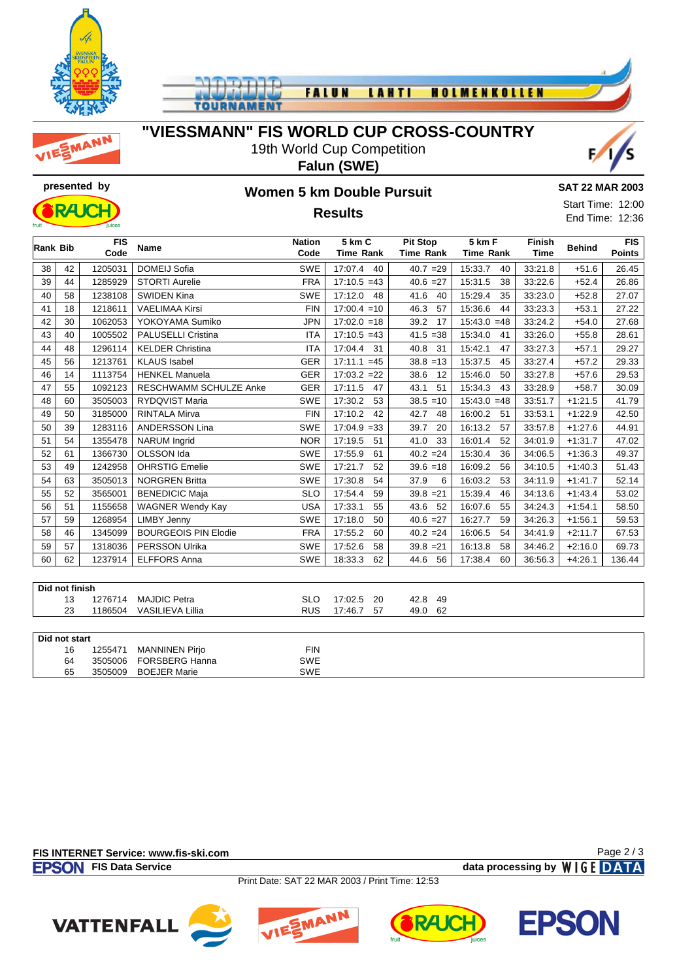





## **"VIESSMANN" FIS WORLD CUP CROSS-COUNTRY**

19th World Cup Competition **Falun (SWE)**





## **presented by Women 5 km Double Pursuit Results**

**SAT 22 MAR 2003**

Start Time: 12:00 End Time: 12:36

|    | <b>FIS</b><br>Rank Bib<br>Code |         | <b>Name</b>                 | <b>Nation</b><br>Code | 5 km C<br><b>Time Rank</b> | <b>Pit Stop</b><br><b>Time Rank</b> | 5 km F<br><b>Time Rank</b> | <b>Finish</b><br><b>Time</b> | <b>Behind</b> | <b>FIS</b><br><b>Points</b> |
|----|--------------------------------|---------|-----------------------------|-----------------------|----------------------------|-------------------------------------|----------------------------|------------------------------|---------------|-----------------------------|
| 38 | 42                             | 1205031 | <b>DOMEIJ Sofia</b>         | <b>SWE</b>            | 17:07.4<br>40              | $40.7 = 29$                         | 15:33.7<br>40              | 33:21.8                      | $+51.6$       | 26.45                       |
| 39 | 44                             | 1285929 | <b>STORTI Aurelie</b>       | <b>FRA</b>            | $17:10.5 = 43$             | $40.6 = 27$                         | 15:31.5<br>38              | 33:22.6                      | $+52.4$       | 26.86                       |
| 40 | 58                             | 1238108 | <b>SWIDEN Kina</b>          | <b>SWE</b>            | 17:12.0<br>48              | 41.6<br>40                          | 15:29.4<br>35              | 33:23.0                      | $+52.8$       | 27.07                       |
| 41 | 18                             | 1218611 | <b>VAELIMAA Kirsi</b>       | <b>FIN</b>            | $17:00.4 = 10$             | 46.3<br>57                          | 15:36.6<br>44              | 33:23.3                      | $+53.1$       | 27.22                       |
| 42 | 30                             | 1062053 | YOKOYAMA Sumiko             | <b>JPN</b>            | $17:02.0 = 18$             | 39.2<br>17                          | 15:43.0<br>$=48$           | 33:24.2                      | $+54.0$       | 27.68                       |
| 43 | 40                             | 1005502 | <b>PALUSELLI Cristina</b>   | <b>ITA</b>            | $17:10.5 = 43$             | 41.5<br>$= 38$                      | 15:34.0<br>41              | 33:26.0                      | $+55.8$       | 28.61                       |
| 44 | 48                             | 1296114 | <b>KELDER Christina</b>     | <b>ITA</b>            | 17:04.4<br>31              | 40.8<br>31                          | 15:42.1<br>47              | 33:27.3                      | $+57.1$       | 29.27                       |
| 45 | 56                             | 1213761 | <b>KLAUS</b> Isabel         | <b>GER</b>            | 17:11.1<br>$=45$           | 38.8<br>$=13$                       | 15:37.5<br>45              | 33:27.4                      | $+57.2$       | 29.33                       |
| 46 | 14                             | 1113754 | <b>HENKEL Manuela</b>       | <b>GER</b>            | $17:03.2 = 22$             | 38.6<br>12                          | 15:46.0<br>50              | 33:27.8                      | $+57.6$       | 29.53                       |
| 47 | 55                             | 1092123 | RESCHWAMM SCHULZE Anke      | <b>GER</b>            | 17:11.5<br>47              | 43.1<br>51                          | 15:34.3<br>43              | 33:28.9                      | $+58.7$       | 30.09                       |
| 48 | 60                             | 3505003 | <b>RYDQVIST Maria</b>       | <b>SWE</b>            | 17:30.2<br>53              | 38.5<br>$=10$                       | 15:43.0<br>$=48$           | 33:51.7                      | $+1:21.5$     | 41.79                       |
| 49 | 50                             | 3185000 | <b>RINTALA Mirva</b>        | <b>FIN</b>            | 17:10.2<br>42              | 42.7<br>48                          | 16:00.2<br>51              | 33:53.1                      | $+1:22.9$     | 42.50                       |
| 50 | 39                             | 1283116 | <b>ANDERSSON Lina</b>       | <b>SWE</b>            | 17:04.9<br>$=33$           | 20<br>39.7                          | 16:13.2<br>57              | 33:57.8                      | $+1:27.6$     | 44.91                       |
| 51 | 54                             | 1355478 | <b>NARUM</b> Ingrid         | <b>NOR</b>            | 17:19.5<br>51              | 41.0<br>33                          | 16:01.4<br>52              | 34:01.9                      | $+1:31.7$     | 47.02                       |
| 52 | 61                             | 1366730 | OLSSON Ida                  | <b>SWE</b>            | 17:55.9<br>61              | $40.2 = 24$                         | 15:30.4<br>36              | 34:06.5                      | $+1:36.3$     | 49.37                       |
| 53 | 49                             | 1242958 | <b>OHRSTIG Emelie</b>       | <b>SWE</b>            | 17:21.7<br>52              | $39.6 = 18$                         | 16:09.2<br>56              | 34:10.5                      | $+1:40.3$     | 51.43                       |
| 54 | 63                             | 3505013 | <b>NORGREN Britta</b>       | <b>SWE</b>            | 17:30.8<br>54              | 37.9<br>6                           | 16:03.2<br>53              | 34:11.9                      | $+1:41.7$     | 52.14                       |
| 55 | 52                             | 3565001 | <b>BENEDICIC Maja</b>       | <b>SLO</b>            | 17:54.4<br>59              | $39.8 = 21$                         | 15:39.4<br>46              | 34:13.6                      | $+1:43.4$     | 53.02                       |
| 56 | 51                             | 1155658 | <b>WAGNER Wendy Kay</b>     | <b>USA</b>            | 17:33.1<br>55              | 52<br>43.6                          | 16:07.6<br>55              | 34:24.3                      | $+1:54.1$     | 58.50                       |
| 57 | 59                             | 1268954 | <b>LIMBY Jenny</b>          | <b>SWE</b>            | 17:18.0<br>50              | $40.6 = 27$                         | 16:27.7<br>59              | 34:26.3                      | $+1:56.1$     | 59.53                       |
| 58 | 46                             | 1345099 | <b>BOURGEOIS PIN Elodie</b> | <b>FRA</b>            | 17:55.2<br>60              | $40.2 = 24$                         | 16:06.5<br>54              | 34:41.9                      | $+2:11.7$     | 67.53                       |
| 59 | 57                             | 1318036 | <b>PERSSON Ulrika</b>       | <b>SWE</b>            | 17:52.6<br>58              | $39.8 = 21$                         | 16:13.8<br>58              | 34:46.2                      | $+2:16.0$     | 69.73                       |
| 60 | 62                             | 1237914 | <b>ELFFORS Anna</b>         | SWE                   | 18:33.3<br>62              | 44.6<br>56                          | 17:38.4<br>60              | 36:56.3                      | $+4:26.1$     | 136.44                      |
|    |                                |         |                             |                       |                            |                                     |                            |                              |               |                             |
|    | Did not finish                 |         |                             |                       |                            |                                     |                            |                              |               |                             |
|    | 13                             | 1276714 | <b>MAJDIC Petra</b>         | <b>SLO</b>            | 17:02.5<br>-20             | 42.8<br>49                          |                            |                              |               |                             |

| 23            | 1186504 | VASILIEVA Lillia      | <b>RUS</b> | 17:46.7 57 | 49.0 | - 62 |
|---------------|---------|-----------------------|------------|------------|------|------|
|               |         |                       |            |            |      |      |
| Did not start |         |                       |            |            |      |      |
| 16            | 1255471 | <b>MANNINEN Pirjo</b> | <b>FIN</b> |            |      |      |
| 64            | 3505006 | <b>FORSBERG Hanna</b> | <b>SWE</b> |            |      |      |
| 65            | 3505009 | <b>BOEJER Marie</b>   | <b>SWE</b> |            |      |      |

**FIS INTERNET Service: www.fis-ski.com**

**FIS Data Service data processing by**  $W \mid G E$  **DATA** 

Page 2 / 3

Print Date: SAT 22 MAR 2003 / Print Time: 12:53